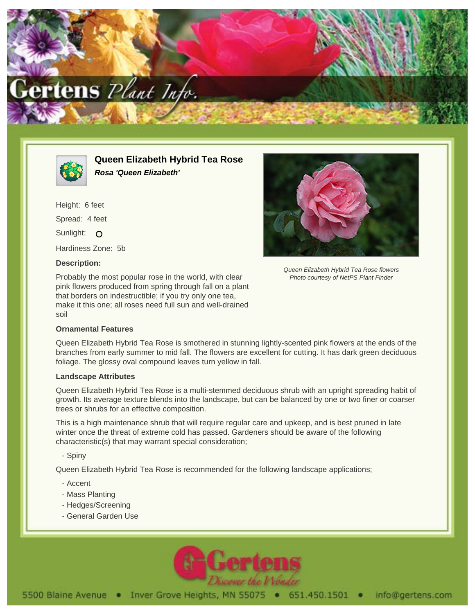



**Queen Elizabeth Hybrid Tea Rose Rosa 'Queen Elizabeth'**

Height: 6 feet Spread: 4 feet Sunlight: O Hardiness Zone: 5b

## **Description:**

Probably the most popular rose in the world, with clear pink flowers produced from spring through fall on a plant that borders on indestructible; if you try only one tea, make it this one; all roses need full sun and well-drained soil

## **Ornamental Features**



Queen Elizabeth Hybrid Tea Rose flowers Photo courtesy of NetPS Plant Finder

Queen Elizabeth Hybrid Tea Rose is smothered in stunning lightly-scented pink flowers at the ends of the branches from early summer to mid fall. The flowers are excellent for cutting. It has dark green deciduous foliage. The glossy oval compound leaves turn yellow in fall.

## **Landscape Attributes**

Queen Elizabeth Hybrid Tea Rose is a multi-stemmed deciduous shrub with an upright spreading habit of growth. Its average texture blends into the landscape, but can be balanced by one or two finer or coarser trees or shrubs for an effective composition.

This is a high maintenance shrub that will require regular care and upkeep, and is best pruned in late winter once the threat of extreme cold has passed. Gardeners should be aware of the following characteristic(s) that may warrant special consideration;

- Spiny

Queen Elizabeth Hybrid Tea Rose is recommended for the following landscape applications;

- Accent
- Mass Planting
- Hedges/Screening
- General Garden Use